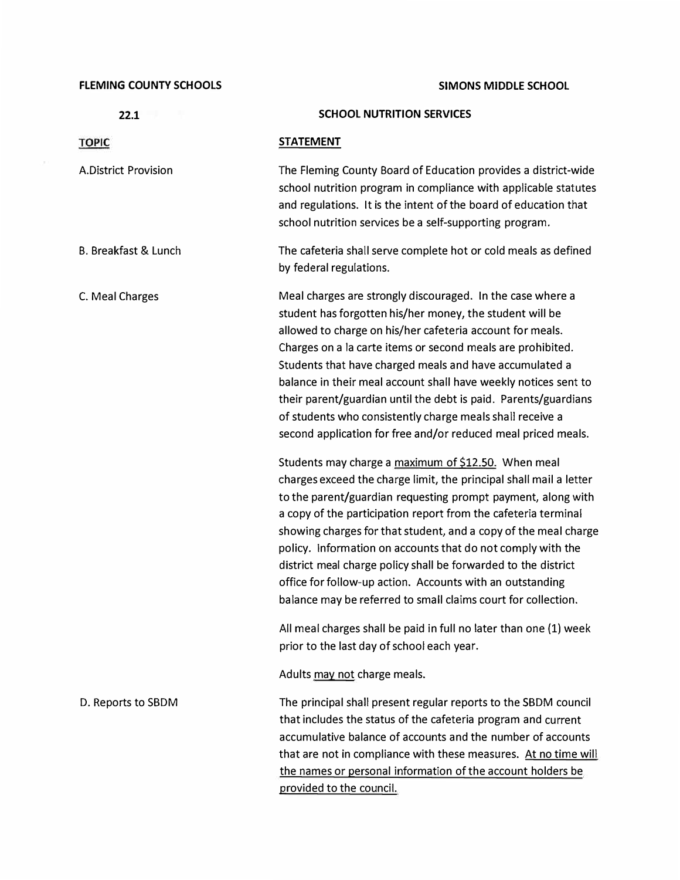## **FLEMING COUNTY SCHOOLS**

| 22.1                            | <b>SCHOOL NUTRITION SERVICES</b>                                                                                                                                                                                                                                                                                                                                                                                                                                                                                                                                                  |
|---------------------------------|-----------------------------------------------------------------------------------------------------------------------------------------------------------------------------------------------------------------------------------------------------------------------------------------------------------------------------------------------------------------------------------------------------------------------------------------------------------------------------------------------------------------------------------------------------------------------------------|
| <b>TOPIC</b>                    | <b>STATEMENT</b>                                                                                                                                                                                                                                                                                                                                                                                                                                                                                                                                                                  |
| A.District Provision            | The Fleming County Board of Education provides a district-wide<br>school nutrition program in compliance with applicable statutes<br>and regulations. It is the intent of the board of education that<br>school nutrition services be a self-supporting program.                                                                                                                                                                                                                                                                                                                  |
| <b>B. Breakfast &amp; Lunch</b> | The cafeteria shall serve complete hot or cold meals as defined<br>by federal regulations.                                                                                                                                                                                                                                                                                                                                                                                                                                                                                        |
| C. Meal Charges                 | Meal charges are strongly discouraged. In the case where a<br>student has forgotten his/her money, the student will be<br>allowed to charge on his/her cafeteria account for meals.<br>Charges on a la carte items or second meals are prohibited.<br>Students that have charged meals and have accumulated a<br>balance in their meal account shall have weekly notices sent to<br>their parent/guardian until the debt is paid. Parents/guardians<br>of students who consistently charge meals shall receive a<br>second application for free and/or reduced meal priced meals. |
|                                 | Students may charge a maximum of \$12.50. When meal<br>charges exceed the charge limit, the principal shall mail a letter                                                                                                                                                                                                                                                                                                                                                                                                                                                         |

charges exceed the charge limit, the principal shall mail a letter to the parent/guardian requesting prompt payment, along with a copy of the participation report from the cafeteria terminal showing charges for that student, and a copy of the meal charge policy. Information on accounts that do not comply with the district meal charge policy shall be forwarded to the district office for follow-up action. Accounts with an outstanding balance may be referred to small claims court for collection.

All meal charges shall be paid in full no later than one (1) week prior to the last day of school each year.

Adults may not charge meals.

D. Reports to SBDM The principal shall present regular reports to the SBDM council that includes the status of the cafeteria program and current accumulative balance of accounts and the number of accounts that are not in compliance with these measures. At no time will the names or personal information of the account holders be provided to the council.

## **SIMONS MIDDLE SCHOOL**